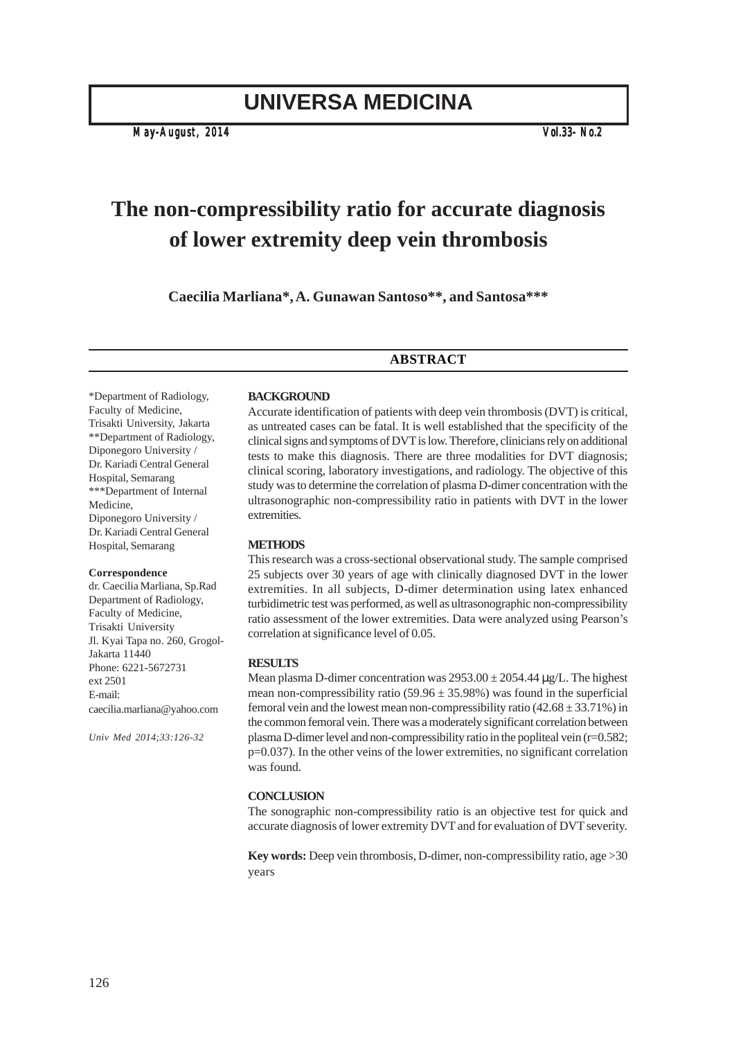# **UNIVERSA MEDICINA**

*May-August, 2014 Vol.33- No.2*

# **The non-compressibility ratio for accurate diagnosis of lower extremity deep vein thrombosis**

**Caecilia Marliana\*, A. Gunawan Santoso\*\*, and Santosa\*\*\***

# **ABSTRACT**

\*Department of Radiology, Faculty of Medicine, Trisakti University, Jakarta \*\*Department of Radiology, Diponegoro University / Dr. Kariadi Central General Hospital, Semarang \*\*\*Department of Internal Medicine, Diponegoro University / Dr. Kariadi Central General Hospital, Semarang

#### **Correspondence**

dr. Caecilia Marliana, Sp.Rad Department of Radiology, Faculty of Medicine, Trisakti University Jl. Kyai Tapa no. 260, Grogol-Jakarta 11440 Phone: 6221-5672731 ext 2501 E-mail: caecilia.marliana@yahoo.com

*Univ Med 2014;33:126-32*

#### **BACKGROUND**

Accurate identification of patients with deep vein thrombosis (DVT) is critical, as untreated cases can be fatal. It is well established that the specificity of the clinical signs and symptoms of DVT is low. Therefore, clinicians rely on additional tests to make this diagnosis. There are three modalities for DVT diagnosis; clinical scoring, laboratory investigations, and radiology. The objective of this study was to determine the correlation of plasma D-dimer concentration with the ultrasonographic non-compressibility ratio in patients with DVT in the lower extremities.

#### **METHODS**

This research was a cross-sectional observational study. The sample comprised 25 subjects over 30 years of age with clinically diagnosed DVT in the lower extremities. In all subjects, D-dimer determination using latex enhanced turbidimetric test was performed, as well as ultrasonographic non-compressibility ratio assessment of the lower extremities. Data were analyzed using Pearson's correlation at significance level of 0.05.

#### **RESULTS**

Mean plasma D-dimer concentration was  $2953.00 \pm 2054.44 \,\mu$ g/L. The highest mean non-compressibility ratio  $(59.96 \pm 35.98\%)$  was found in the superficial femoral vein and the lowest mean non-compressibility ratio  $(42.68 \pm 33.71\%)$  in the common femoral vein. There was a moderately significant correlation between plasma D-dimer level and non-compressibility ratio in the popliteal vein  $(r=0.582;$ p=0.037). In the other veins of the lower extremities, no significant correlation was found.

#### **CONCLUSION**

The sonographic non-compressibility ratio is an objective test for quick and accurate diagnosis of lower extremity DVT and for evaluation of DVT severity.

**Key words:** Deep vein thrombosis, D-dimer, non-compressibility ratio, age >30 years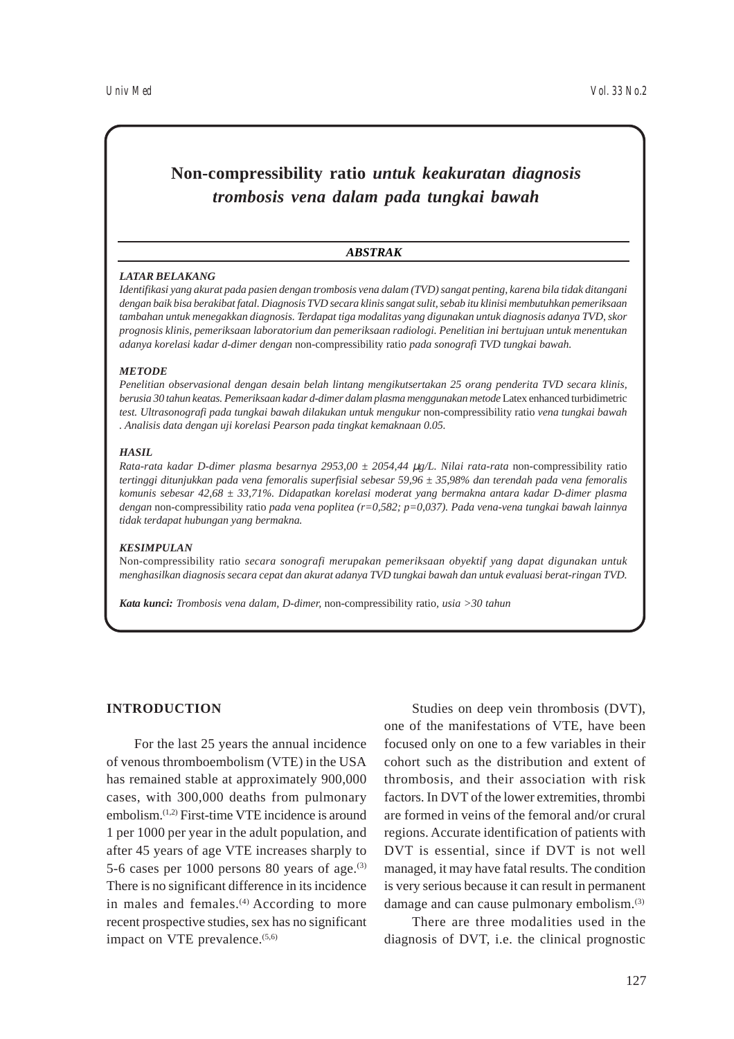# **Non-compressibility ratio** *untuk keakuratan diagnosis trombosis vena dalam pada tungkai bawah*

#### *ABSTRAK*

#### *LATAR BELAKANG*

*Identifikasi yang akurat pada pasien dengan trombosis vena dalam (TVD) sangat penting, karena bila tidak ditangani dengan baik bisa berakibat fatal. Diagnosis TVD secara klinis sangat sulit, sebab itu klinisi membutuhkan pemeriksaan tambahan untuk menegakkan diagnosis. Terdapat tiga modalitas yang digunakan untuk diagnosis adanya TVD, skor prognosis klinis, pemeriksaan laboratorium dan pemeriksaan radiologi. Penelitian ini bertujuan untuk menentukan adanya korelasi kadar d-dimer dengan* non-compressibility ratio *pada sonografi TVD tungkai bawah.*

### *METODE*

*Penelitian observasional dengan desain belah lintang mengikutsertakan 25 orang penderita TVD secara klinis, berusia 30 tahun keatas. Pemeriksaan kadar d-dimer dalam plasma menggunakan metode* Latex enhanced turbidimetric *test. Ultrasonografi pada tungkai bawah dilakukan untuk mengukur* non-compressibility ratio *vena tungkai bawah . Analisis data dengan uji korelasi Pearson pada tingkat kemaknaan 0.05.*

#### *HASIL*

*Rata-rata kadar D-dimer plasma besarnya 2953,00 ± 2054,44 µg/L. Nilai rata-rata non-compressibility ratio tertinggi ditunjukkan pada vena femoralis superfisial sebesar 59,96 ± 35,98% dan terendah pada vena femoralis komunis sebesar 42,68 ± 33,71%. Didapatkan korelasi moderat yang bermakna antara kadar D-dimer plasma dengan* non-compressibility ratio *pada vena poplitea (r=0,582; p=0,037). Pada vena-vena tungkai bawah lainnya tidak terdapat hubungan yang bermakna.*

#### *KESIMPULAN*

Non-compressibility ratio *secara sonografi merupakan pemeriksaan obyektif yang dapat digunakan untuk menghasilkan diagnosis secara cepat dan akurat adanya TVD tungkai bawah dan untuk evaluasi berat-ringan TVD.*

*Kata kunci: Trombosis vena dalam, D-dimer,* non-compressibility ratio*, usia >30 tahun*

# **INTRODUCTION**

For the last 25 years the annual incidence of venous thromboembolism (VTE) in the USA has remained stable at approximately 900,000 cases, with 300,000 deaths from pulmonary embolism.(1,2) First-time VTE incidence is around 1 per 1000 per year in the adult population, and after 45 years of age VTE increases sharply to 5-6 cases per  $1000$  persons 80 years of age.<sup>(3)</sup> There is no significant difference in its incidence in males and females.<sup>(4)</sup> According to more recent prospective studies, sex has no significant impact on VTE prevalence. $(5,6)$ 

Studies on deep vein thrombosis (DVT), one of the manifestations of VTE, have been focused only on one to a few variables in their cohort such as the distribution and extent of thrombosis, and their association with risk factors. In DVT of the lower extremities, thrombi are formed in veins of the femoral and/or crural regions. Accurate identification of patients with DVT is essential, since if DVT is not well managed, it may have fatal results. The condition is very serious because it can result in permanent damage and can cause pulmonary embolism.(3)

There are three modalities used in the diagnosis of DVT, i.e. the clinical prognostic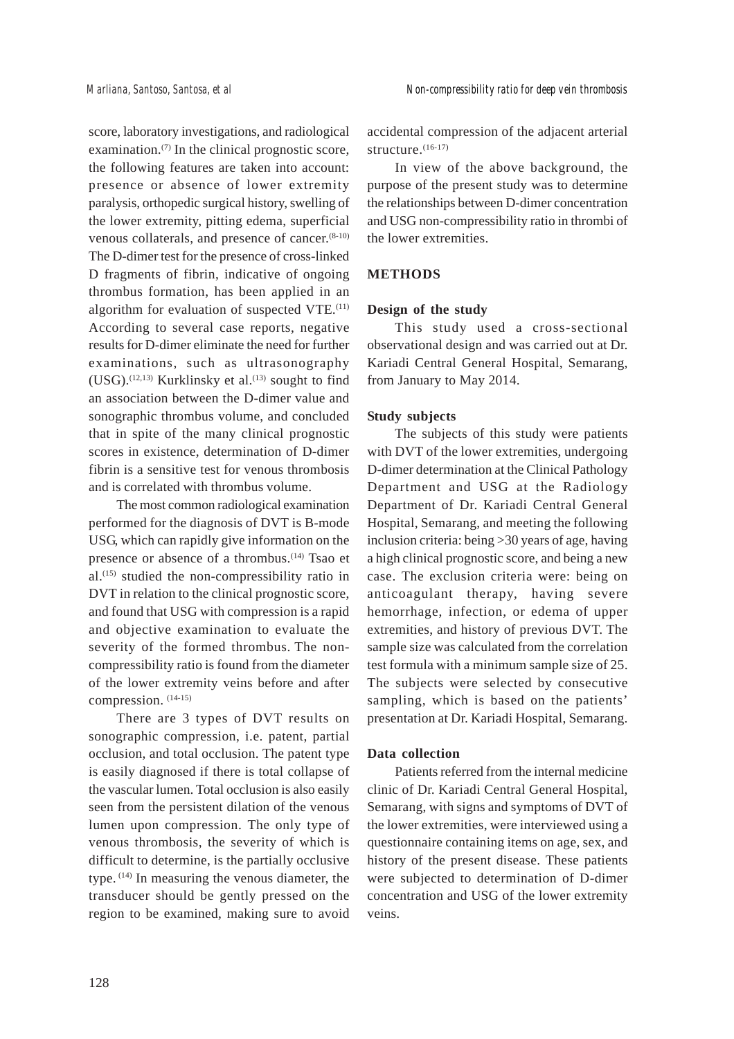score, laboratory investigations, and radiological examination. $(7)$  In the clinical prognostic score, the following features are taken into account: presence or absence of lower extremity paralysis, orthopedic surgical history, swelling of the lower extremity, pitting edema, superficial venous collaterals, and presence of cancer. $(8-10)$ The D-dimer test for the presence of cross-linked D fragments of fibrin, indicative of ongoing thrombus formation, has been applied in an algorithm for evaluation of suspected  $VTE$ .<sup> $(11)$ </sup> According to several case reports, negative results for D-dimer eliminate the need for further examinations, such as ultrasonography (USG).<sup>(12,13)</sup> Kurklinsky et al.<sup>(13)</sup> sought to find an association between the D-dimer value and sonographic thrombus volume, and concluded that in spite of the many clinical prognostic scores in existence, determination of D-dimer fibrin is a sensitive test for venous thrombosis and is correlated with thrombus volume.

The most common radiological examination performed for the diagnosis of DVT is B-mode USG, which can rapidly give information on the presence or absence of a thrombus.<sup>(14)</sup> Tsao et al.(15) studied the non-compressibility ratio in DVT in relation to the clinical prognostic score, and found that USG with compression is a rapid and objective examination to evaluate the severity of the formed thrombus. The noncompressibility ratio is found from the diameter of the lower extremity veins before and after compression. (14-15)

There are 3 types of DVT results on sonographic compression, i.e. patent, partial occlusion, and total occlusion. The patent type is easily diagnosed if there is total collapse of the vascular lumen. Total occlusion is also easily seen from the persistent dilation of the venous lumen upon compression. The only type of venous thrombosis, the severity of which is difficult to determine, is the partially occlusive type. (14) In measuring the venous diameter, the transducer should be gently pressed on the region to be examined, making sure to avoid accidental compression of the adjacent arterial structure. $(16-17)$ 

In view of the above background, the purpose of the present study was to determine the relationships between D-dimer concentration and USG non-compressibility ratio in thrombi of the lower extremities.

# **METHODS**

### **Design of the study**

This study used a cross-sectional observational design and was carried out at Dr. Kariadi Central General Hospital, Semarang, from January to May 2014.

#### **Study subjects**

The subjects of this study were patients with DVT of the lower extremities, undergoing D-dimer determination at the Clinical Pathology Department and USG at the Radiology Department of Dr. Kariadi Central General Hospital, Semarang, and meeting the following inclusion criteria: being >30 years of age, having a high clinical prognostic score, and being a new case. The exclusion criteria were: being on anticoagulant therapy, having severe hemorrhage, infection, or edema of upper extremities, and history of previous DVT. The sample size was calculated from the correlation test formula with a minimum sample size of 25. The subjects were selected by consecutive sampling, which is based on the patients' presentation at Dr. Kariadi Hospital, Semarang.

## **Data collection**

Patients referred from the internal medicine clinic of Dr. Kariadi Central General Hospital, Semarang, with signs and symptoms of DVT of the lower extremities, were interviewed using a questionnaire containing items on age, sex, and history of the present disease. These patients were subjected to determination of D-dimer concentration and USG of the lower extremity veins.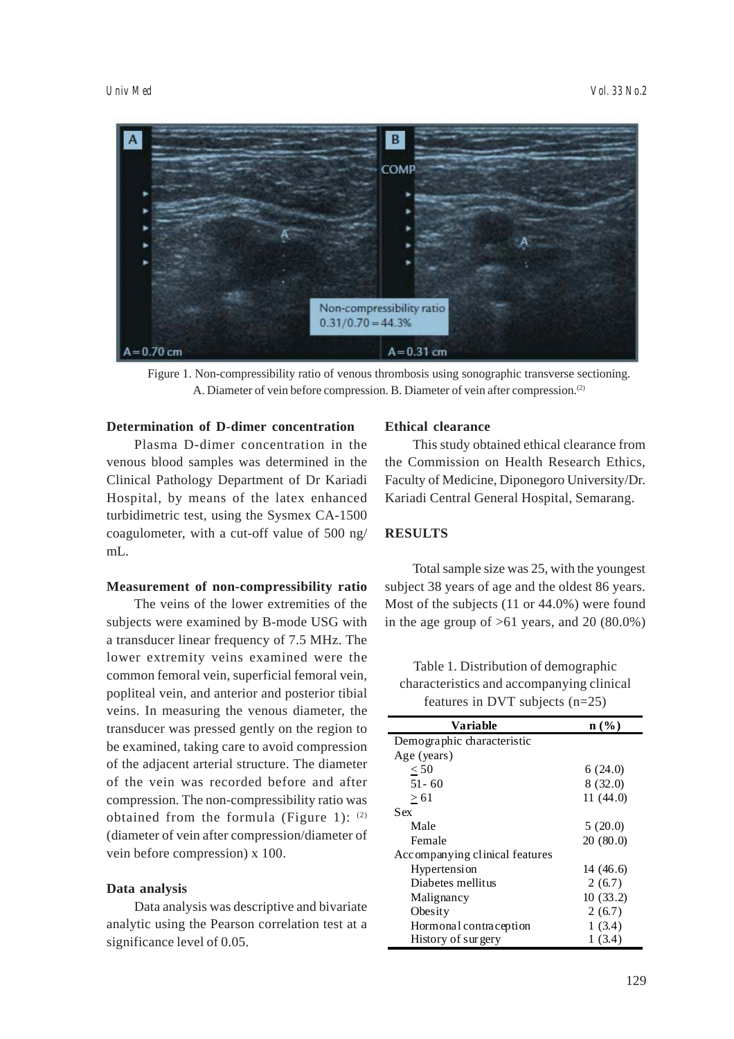

Figure 1. Non-compressibility ratio of venous thrombosis using sonographic transverse sectioning. A. Diameter of vein before compression. B. Diameter of vein after compression.<sup>(2)</sup>

# **Determination of D-dimer concentration**

Plasma D-dimer concentration in the venous blood samples was determined in the Clinical Pathology Department of Dr Kariadi Hospital, by means of the latex enhanced turbidimetric test, using the Sysmex CA-1500 coagulometer, with a cut-off value of 500 ng/ mL.

# **Measurement of non-compressibility ratio**

The veins of the lower extremities of the subjects were examined by B-mode USG with a transducer linear frequency of 7.5 MHz. The lower extremity veins examined were the common femoral vein, superficial femoral vein, popliteal vein, and anterior and posterior tibial veins. In measuring the venous diameter, the transducer was pressed gently on the region to be examined, taking care to avoid compression of the adjacent arterial structure. The diameter of the vein was recorded before and after compression. The non-compressibility ratio was obtained from the formula (Figure 1):  $(2)$ (diameter of vein after compression/diameter of vein before compression) x 100.

### **Data analysis**

Data analysis was descriptive and bivariate analytic using the Pearson correlation test at a significance level of 0.05.

# **Ethical clearance**

This study obtained ethical clearance from the Commission on Health Research Ethics, Faculty of Medicine, Diponegoro University/Dr. Kariadi Central General Hospital, Semarang.

# **RESULTS**

Total sample size was 25, with the youngest subject 38 years of age and the oldest 86 years. Most of the subjects (11 or 44.0%) were found in the age group of  $>61$  years, and 20 (80.0%)

Table 1. Distribution of demographic characteristics and accompanying clinical features in DVT subjects (n=25)

| Variable                       | $\mathbf{n}(\%)$ |
|--------------------------------|------------------|
| Demographic characteristic     |                  |
| Age (years)                    |                  |
| < 50                           | 6(24.0)          |
| $51 - 60$                      | 8(32.0)          |
| > 61                           | 11(44.0)         |
| Sex                            |                  |
| Male                           | 5(20.0)          |
| Female                         | 20(80.0)         |
| Accompanying clinical features |                  |
| Hypertension                   | 14(46.6)         |
| Diabetes mellitus              | 2(6.7)           |
| Malignancy                     | 10(33.2)         |
| Obesity                        | 2(6.7)           |
| Hormonal contraception         | 1(3.4)           |
| History of surgery             | 1(3.4)           |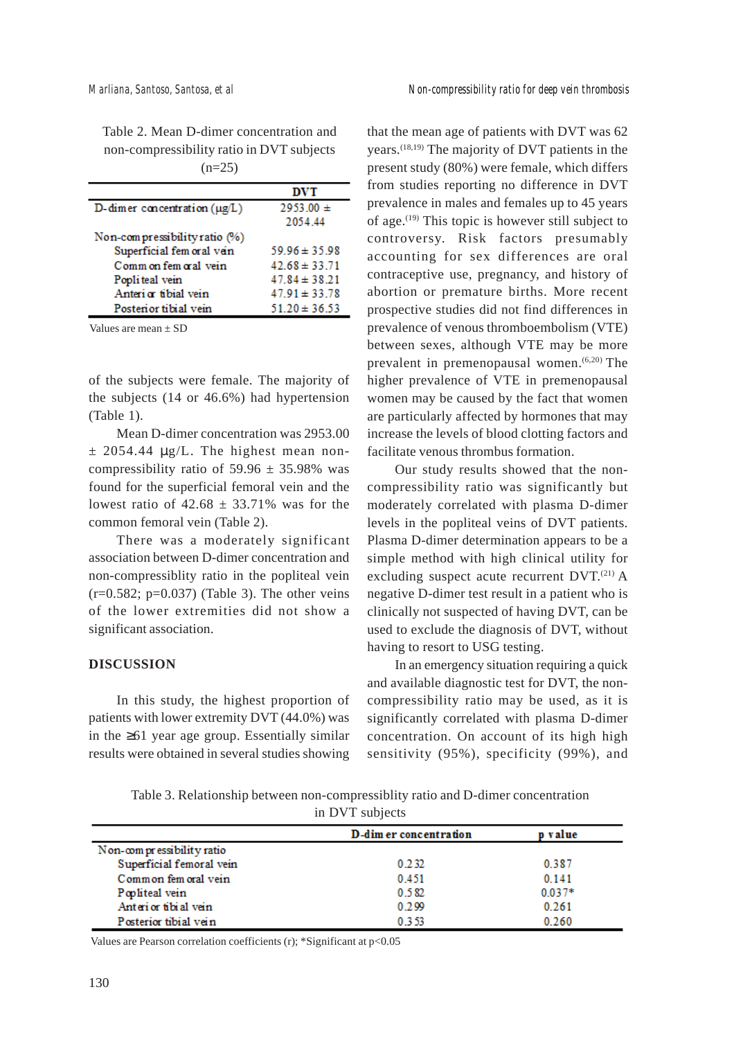Table 2. Mean D-dimer concentration and non-compressibility ratio in DVT subjects  $(n=25)$ 

|                                   | <b>DVT</b>        |
|-----------------------------------|-------------------|
| D-dimer concentration $(\mu g/L)$ | $2953.00 \pm$     |
|                                   | 2054.44           |
| Non-compressibility ratio (%)     |                   |
| Superficial fem oral vein         | $59.96 \pm 35.98$ |
| Comm on fem oral vein             | $42.68 \pm 33.71$ |
| Popliteal vein                    | $47.84 \pm 38.21$ |
| Anteri or tibial vein             | $47.91 \pm 33.78$ |
| Posterior tibial vein             | $51.20 \pm 36.53$ |

Values are mean  $\pm$  SD

of the subjects were female. The majority of the subjects (14 or 46.6%) had hypertension (Table 1).

Mean D-dimer concentration was 2953.00  $\pm$  2054.44  $\mu$ g/L. The highest mean noncompressibility ratio of  $59.96 \pm 35.98\%$  was found for the superficial femoral vein and the lowest ratio of  $42.68 \pm 33.71\%$  was for the common femoral vein (Table 2).

There was a moderately significant association between D-dimer concentration and non-compressiblity ratio in the popliteal vein  $(r=0.582; p=0.037)$  (Table 3). The other veins of the lower extremities did not show a significant association.

#### **DISCUSSION**

In this study, the highest proportion of patients with lower extremity DVT (44.0%) was in the ≥61 year age group. Essentially similar results were obtained in several studies showing

that the mean age of patients with DVT was 62 years.(18,19) The majority of DVT patients in the present study (80%) were female, which differs from studies reporting no difference in DVT prevalence in males and females up to 45 years of age. $(19)$  This topic is however still subject to controversy. Risk factors presumably accounting for sex differences are oral contraceptive use, pregnancy, and history of abortion or premature births. More recent prospective studies did not find differences in prevalence of venous thromboembolism (VTE) between sexes, although VTE may be more prevalent in premenopausal women. $(6,20)$  The higher prevalence of VTE in premenopausal women may be caused by the fact that women are particularly affected by hormones that may increase the levels of blood clotting factors and facilitate venous thrombus formation.

Our study results showed that the noncompressibility ratio was significantly but moderately correlated with plasma D-dimer levels in the popliteal veins of DVT patients. Plasma D-dimer determination appears to be a simple method with high clinical utility for excluding suspect acute recurrent  $DVT$ .<sup>(21)</sup> A negative D-dimer test result in a patient who is clinically not suspected of having DVT, can be used to exclude the diagnosis of DVT, without having to resort to USG testing.

In an emergency situation requiring a quick and available diagnostic test for DVT, the noncompressibility ratio may be used, as it is significantly correlated with plasma D-dimer concentration. On account of its high high sensitivity (95%), specificity (99%), and

Table 3. Relationship between non-compressiblity ratio and D-dimer concentration in DVT subjects

|                           | D-dim er concentration | p value  |
|---------------------------|------------------------|----------|
| Non-compressibility ratio |                        |          |
| Superficial femoral vein  | 0.232                  | 0.387    |
| Common fem oral vein      | 0.451                  | 0.141    |
| Popliteal vein            | 0.582                  | $0.037*$ |
| Anterior tibial vein      | 0.299                  | 0.261    |
| Posterior tibial vein     | 0.353                  | 0.260    |

Values are Pearson correlation coefficients (r); \*Significant at p<0.05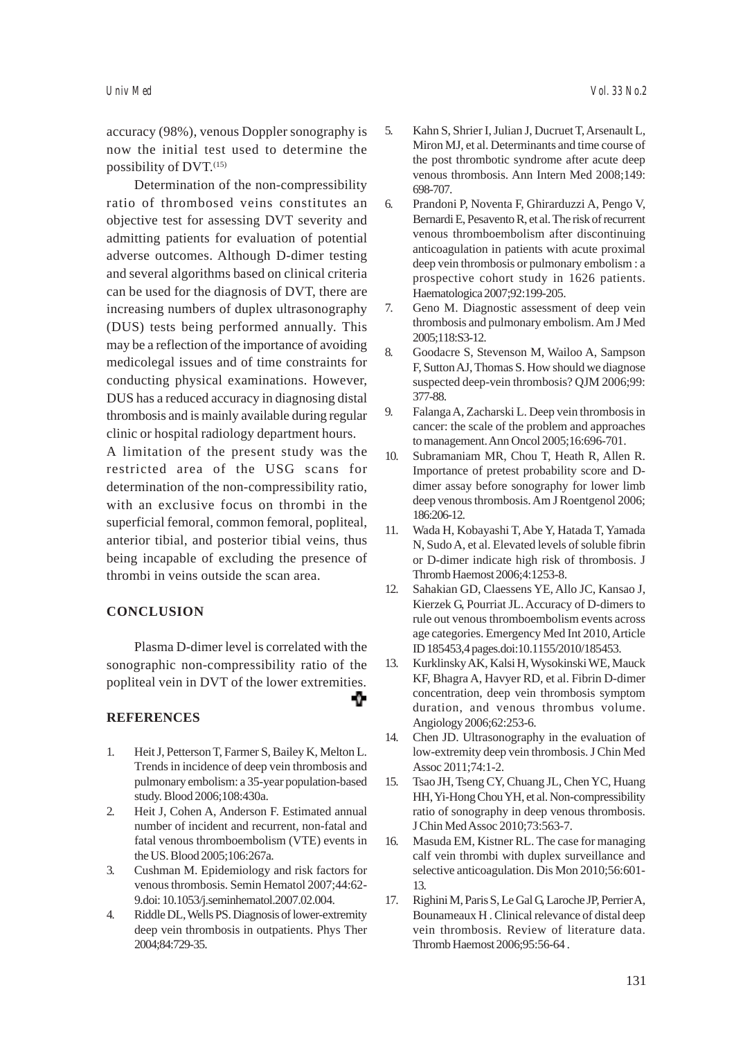accuracy (98%), venous Doppler sonography is now the initial test used to determine the possibility of DVT.<sup>(15)</sup>

Determination of the non-compressibility ratio of thrombosed veins constitutes an objective test for assessing DVT severity and admitting patients for evaluation of potential adverse outcomes. Although D-dimer testing and several algorithms based on clinical criteria can be used for the diagnosis of DVT, there are increasing numbers of duplex ultrasonography (DUS) tests being performed annually. This may be a reflection of the importance of avoiding medicolegal issues and of time constraints for conducting physical examinations. However, DUS has a reduced accuracy in diagnosing distal thrombosis and is mainly available during regular clinic or hospital radiology department hours.

A limitation of the present study was the restricted area of the USG scans for determination of the non-compressibility ratio, with an exclusive focus on thrombi in the superficial femoral, common femoral, popliteal, anterior tibial, and posterior tibial veins, thus being incapable of excluding the presence of thrombi in veins outside the scan area.

### **CONCLUSION**

Plasma D-dimer level is correlated with the sonographic non-compressibility ratio of the popliteal vein in DVT of the lower extremities.

-9-

### **REFERENCES**

- 1. Heit J, Petterson T, Farmer S, Bailey K, Melton L. Trends in incidence of deep vein thrombosis and pulmonary embolism: a 35-year population-based study. Blood 2006;108:430a.
- 2. Heit J, Cohen A, Anderson F. Estimated annual number of incident and recurrent, non-fatal and fatal venous thromboembolism (VTE) events in the US. Blood 2005;106:267a.
- 3. Cushman M. Epidemiology and risk factors for venous thrombosis. Semin Hematol 2007;44:62- 9.doi: 10.1053/j.seminhematol.2007.02.004.
- 4. Riddle DL, Wells PS. Diagnosis of lower-extremity deep vein thrombosis in outpatients. Phys Ther 2004;84:729-35.
- 5. Kahn S, Shrier I, Julian J, Ducruet T, Arsenault L, Miron MJ, et al. Determinants and time course of the post thrombotic syndrome after acute deep venous thrombosis. Ann Intern Med 2008;149: 698-707.
- 6. Prandoni P, Noventa F, Ghirarduzzi A, Pengo V, Bernardi E, Pesavento R, et al. The risk of recurrent venous thromboembolism after discontinuing anticoagulation in patients with acute proximal deep vein thrombosis or pulmonary embolism : a prospective cohort study in 1626 patients. Haematologica 2007;92:199-205.
- 7. Geno M. Diagnostic assessment of deep vein thrombosis and pulmonary embolism. Am J Med 2005;118:S3-12.
- 8. Goodacre S, Stevenson M, Wailoo A, Sampson F, Sutton AJ, Thomas S. How should we diagnose suspected deep-vein thrombosis? QJM 2006;99: 377-88.
- 9. Falanga A, Zacharski L. Deep vein thrombosis in cancer: the scale of the problem and approaches to management. Ann Oncol 2005;16:696-701.
- 10. Subramaniam MR, Chou T, Heath R, Allen R. Importance of pretest probability score and Ddimer assay before sonography for lower limb deep venous thrombosis. Am J Roentgenol 2006; 186:206-12.
- 11. Wada H, Kobayashi T, Abe Y, Hatada T, Yamada N, Sudo A, et al. Elevated levels of soluble fibrin or D-dimer indicate high risk of thrombosis. J Thromb Haemost 2006;4:1253-8.
- 12. Sahakian GD, Claessens YE, Allo JC, Kansao J, Kierzek G, Pourriat JL. Accuracy of D-dimers to rule out venous thromboembolism events across age categories. Emergency Med Int 2010, Article ID 185453,4 pages.doi:10.1155/2010/185453.
- 13. Kurklinsky AK, Kalsi H, Wysokinski WE, Mauck KF, Bhagra A, Havyer RD, et al. Fibrin D-dimer concentration, deep vein thrombosis symptom duration, and venous thrombus volume. Angiology 2006;62:253-6.
- 14. Chen JD. Ultrasonography in the evaluation of low-extremity deep vein thrombosis. J Chin Med Assoc 2011;74:1-2.
- 15. Tsao JH, Tseng CY, Chuang JL, Chen YC, Huang HH, Yi-Hong Chou YH, et al. Non-compressibility ratio of sonography in deep venous thrombosis. J Chin Med Assoc 2010;73:563-7.
- 16. Masuda EM, Kistner RL. The case for managing calf vein thrombi with duplex surveillance and selective anticoagulation. Dis Mon 2010;56:601- 13.
- 17. Righini M, Paris S, Le Gal G, Laroche JP, Perrier A, Bounameaux H . Clinical relevance of distal deep vein thrombosis. Review of literature data. Thromb Haemost 2006;95:56-64 .